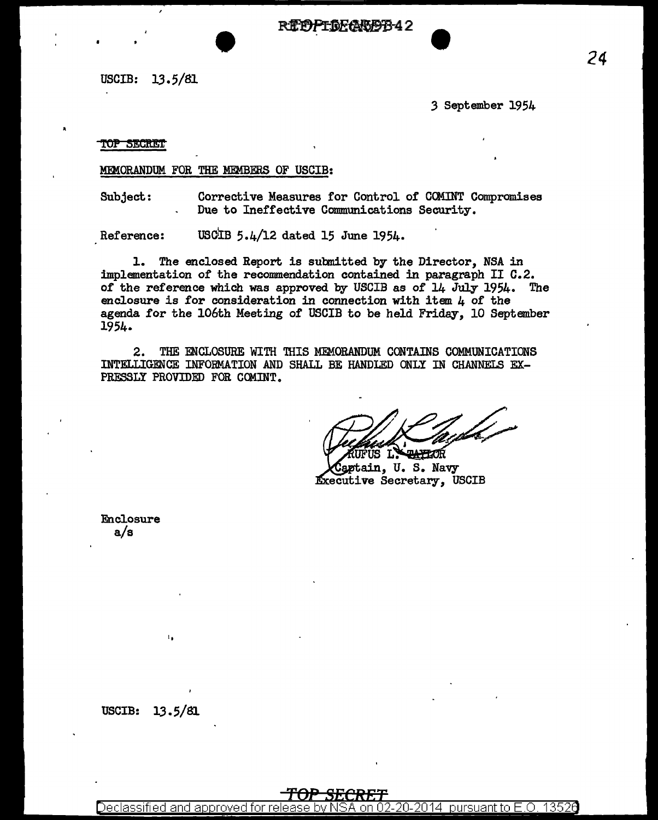R**IPPFOFABBB**42

USCIB: 13.5/81

3 September 1954

# **TOP SECRET**

# MEMORANDUM FOR THE MEMBERS OF USCIB:

Corrective Measures for Control of COMINT Compromises Subject: Due to Ineffective Communications Security.

USCIB 5.4/12 dated 15 June 1954. Reference:

1. The enclosed Report is submitted by the Director, NSA in implementation of the recommendation contained in paragraph II C.2. of the reference which was approved by USCIB as of 14 July 1954. The enclosure is for consideration in connection with item  $\mu$  of the agenda for the 106th Meeting of USCIB to be held Friday, 10 September 1954.

 $2.$ THE ENCLOSURE WITH THIS MEMORANDUM CONTAINS COMMUNICATIONS INTELLIGENCE INFORMATION AND SHALL BE HANDLED ONLY IN CHANNELS EX-PRESSLY PROVIDED FOR COMINT.

**TATELOR** *IFUS L.* 

Captain, U.S. Navy **Executive Secretary, USCIB** 

Enclosure  $a/s$ 

# <del>TOP</del>

Declassified and approved for release. on 02-20-2014 pursuant to E.O. 13526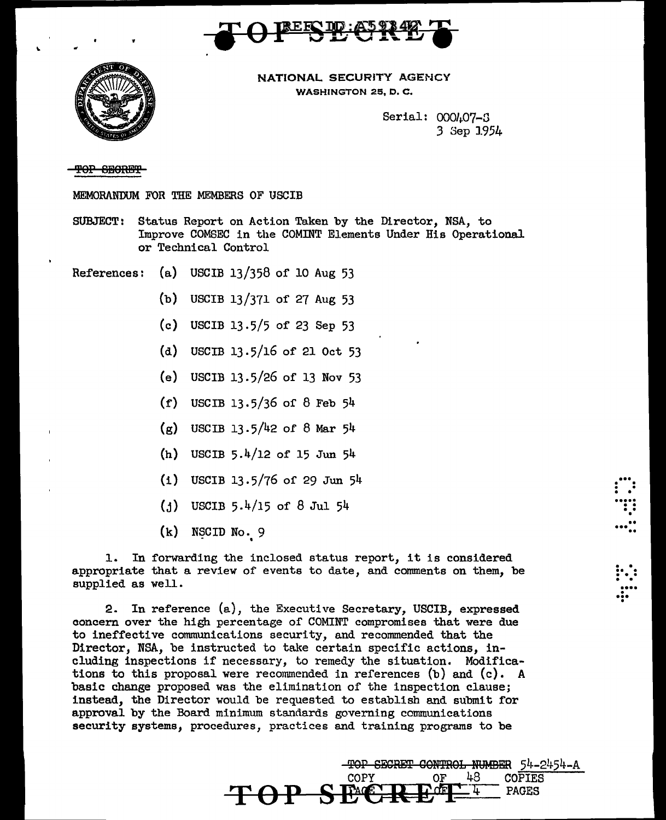



NATIONAL SECURITY AGENCY WASHINGTON 25, D. C.

> Serial: 000 $h07-3$ 3 Sep 1954

> > $\dddot{\mathbf{r}}$  :

• ...<br>!!<br>!! • .. ... ••

. . .. . ... . . . ... . ... .

### TOP SECRET

MEMORANDUM FOR TIIE MEMBERS OF USCIB

- SUBJECT: Status Report on Action Taken by the Director, NSA, to Improve COMSEC in the COMINT Elements Under His Operational or Technical Control
- References: (a) USCIB 13/358 of 10 Aug 53
	- (b) USCIB 13/371 of 27 Aug 53
	- (c) USCIB 13.5/5 of 23 Sep 53
	- (d) USCIB 13.5/16 of 21 Oct 53
	- (e) USCIB 13.5/26 of 13 Nov 53
	- (f) USCIB 13.5/36 of 8 Feb 54
	- $(g)$  USCIB 13.5/42 of 8 Mar 54
	- (h) USCIB 5.4/12 of 15 Jun 54
	- (i) USCIB 13.5/76 of 29 Jun 54
	- $(1)$  USCIB 5.4/15 of 8 Jul 54
	- $(k)$  NSCID No. 9 '

1. In forwarding the inclosed status report, it is considered appropriate that a review of events to date, and comments on them, be supplied as well.

2. In reference (a), the Executive Secretary, USCIB, expressed concern over the high percentage of COMINT compromises that were due to ineffective communications security, and recommended that the Director, NSA, be instructed to take certain specific actions, including inspections if necessary, to remedy the situation. Modifications to this proposal were recommended in references  $(b)$  and  $(c)$ . A basic change proposed was the elimination of the inspection clause; instead, the Director would be requested to establish and submit for approval by the Board minimum standards governing communications security systems, procedures, practices and training programs to be

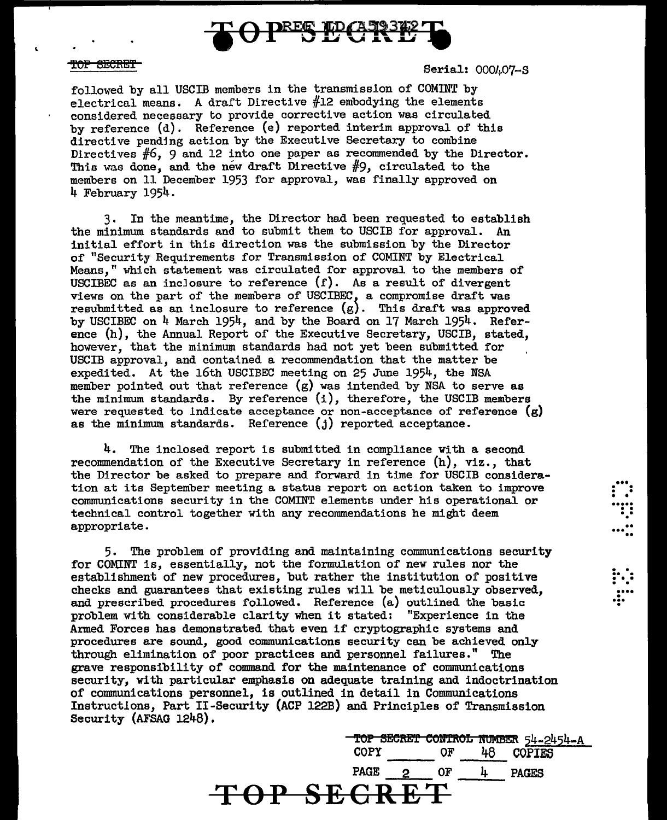

### <del>TOP SECRET</del>

Serial: 000407-S

 $\ddot{v}$ . . . ... ..

 $\ddot{::}\ddot{...}$ 

... • .

followed by all USCIB members in the transmission of COMINT by electrical means. A draft Directive  $#12$  embodying the elements considered necessary to provide corrective action was circulated by reference (d). Reference (e) reported interim approval of this directive pending action by the Executive Secretary to combine Directives #6, 9 and 12 into one paper as recommended by the Director. This was done, and the new draft Directive  $#9$ , circulated to the members on 11 December 1953 for approval, was finally approved on 4 February 1954.

3. In the meantime, the Director had been requested to establish the minimum standards and to submit them to USCIB for approval. An initial effort in this direction was the submission by the Director of "Security Requirements for Transmission of COMINT by Electrical Means," which statement was circulated for approval to the members of USCIBEC as an inclosure to reference  $(f)$ . As a result of divergent views on the part of the members of USCIBEC, a compromise draft was resubmitted as an inclosure to reference  $(g)$ . This draft was approved by USCIBEC on  $4$  March 1954, and by the Board on 17 March 1954. Reference (h), the Annual Report of the Executive Secretary, USCIB, stated, however, that the minimum standards had not yet been submitted for USCIB approval, and contained a recommendation that the matter be expedited. At the 16th USCIBEC meeting on 25 June 1954, the NSA member pointed out that reference (g) was intended by NSA to serve as the minimum standards. By reference (i), therefore, the USCIB members were requested to indicate acceptance or non-acceptance of reference  $(g)$ as the minimum standards. Reference (j) reported acceptance.

4. The inclosed report is submitted in compliance With a second recommendation of the Executive Secretary in reference (h), viz., that the Director be asked to prepare and forward in time for USCIB consideration at its September meeting a status report on action taken to improve communications security in the COMINT elements under his operational or technical control together with any recommendations he might deem appropriate.

5. The problem of providing and maintaining communications security for COMINT is, essentially, not the formulation of new rules nor the establishment of new procedures, but rather the institution of positive checks and guarantees that existing rules will be meticulously observed, and prescribed procedures followed. Reference (a) outlined the basic problem with considerable clarity when it stated: "Experience in the Armed Forces has demonstrated that even if cryptographic systems and procedures are sound, good communications security can be achieved only through. elimination of poor practices and personnel failures." The grave responsibility of command for the maintenance of communications security, with particular emphasis on adequate training and indoctrination of communications personnel, is outlined in detail in Communications Instructlons, Part II-Security (ACP 122B) and Principles of Transmission Security (AFSAG 1248).

TOP BEe~ eOft"f'ftOL IftlM!m 54-2454-A COPY OF 48 COPIES PAGE 2 OF 4 PAGES<br> **OP SECRET**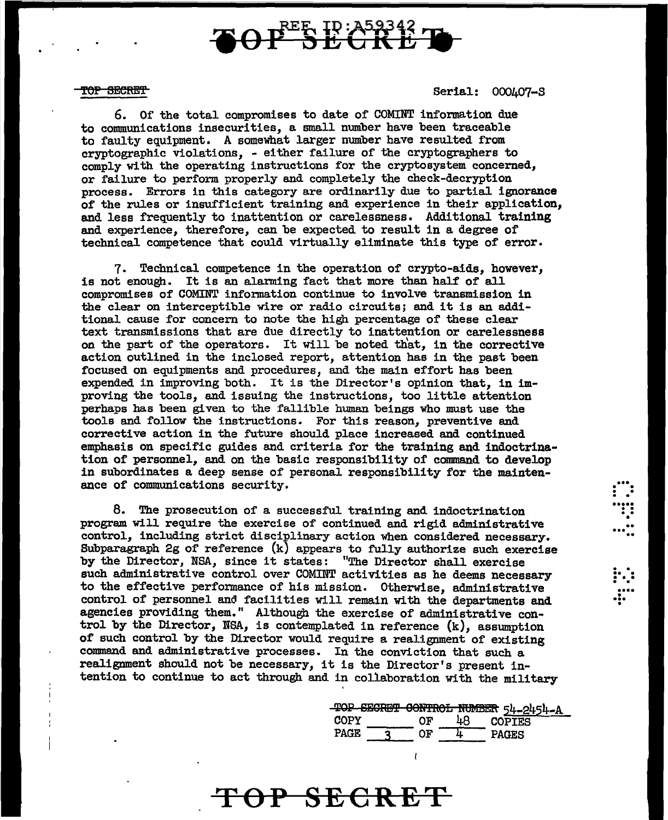# **REE ID: A59342**

#### TOP SECRET

Serial: 000407-S

 $\mathbf{...}$  $\vdots$  : ••••<br>•••••<br>••••• • ...<br>...<sup>...</sup>

. . .. . ... . . ....

... • •

6. Of the total compromises to date of COMINT information due to connnunications insecurities, a small number have been traceable to faulty equipment. A somewhat larger number have resulted from cryptographic violations, - either failure of the cryptographers to comply with the operating instructions for the cryptosystem concerned, or failure to perform properly and completely the check-decryption process. Errors in this category are ordinarily due to partial ignorance of the rules or insufficient training and experience in their application. and less frequently to inattention or carelessness. Additional training and experience, therefore, can be expected to result in a degree of technical competence that could virtually eliminate this type of error.

7. Technical competence in the operation of crypto-aids, however, is not enough. It is an alanning fact that more than half of all compromises of COMINT infonnation continue to involve transmission in the clear on interceptible wire or radio circuits; and it is an additional cause for concern to note the high percentage of these clear text transmissions that are due directly to inattention or carelessness on the part of the operators. It will be noted that, in the corrective action outlined in the inclosed report, attention has in the past been focused on equipments and procedures, and the main effort has been expended in improving both. It is the Director's opinion that, in improving the tools, and issuing the instructions, too little attention perhaps has been given to the fallible human beings who must use the tools and follow the instructions. For this reason, preventive and corrective action in the future should place increased and continued emphasis on specific guides and criteria for the training and indoctrination of personnel, and on the basic responsibility of command to develop in subordinates a deep sense of personal responsibility for the maintenance of communications security.

8. The prosecution of a successful training and indoctrination program will require the exercise of continued and rigid administrative control, including strict disciplinary action when considered necessary. Subparagraph 2g of reference (k) appears to fully authorize such exercise by the Director, NSA, since it states: "The Director shall exercise such administrative control over COMINT activities as he deems necessary to the effective performance of his mission. Otherwise, administrative control of personnel and facilities will remain with the departments and agencies providing them." Although the exercise of administrative control by the Director, NSA, is contemplated in reference (k), assumption of such control by the Director would require a realignment of existing command and administrative processes. In the conviction that such a realignment should not be necessary, it is the Director's present intention to continue to act through and in collaboration with the military

OP SECRE

|      |    |                 | TOP SECRET CONTROL NUMBER 54-2454-A |  |
|------|----|-----------------|-------------------------------------|--|
| COPY | በፑ | <sup>I</sup> LA | <b>COPTES</b>                       |  |
| PAGE |    |                 | PAGES                               |  |

t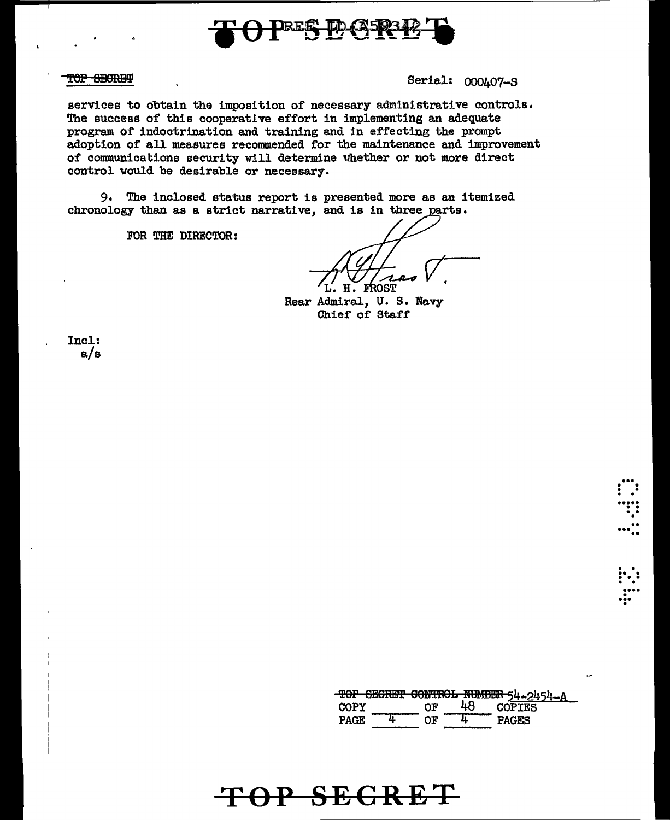

### TOP SECREF

Serial: 000407-S

services to obtain the imposition of necessary administrative controls. The success of this cooperative effort in implementing an adequate program of indoctrination and training and in effecting the prompt adoption of all measures recommended for the maintenance and improvement of communications security will determine whether or not more direct control would be desirable or necessary.

 $9.$ The inclosed status report is presented more as an itemized chronology than as a strict narrative, and is in three parts.

FOR THE DIRECTOR:

**TROST** Ή.

Rear Admiral, U. S. Navy Chief of Staff

Incl:  $a/s$ 

TOP SECRET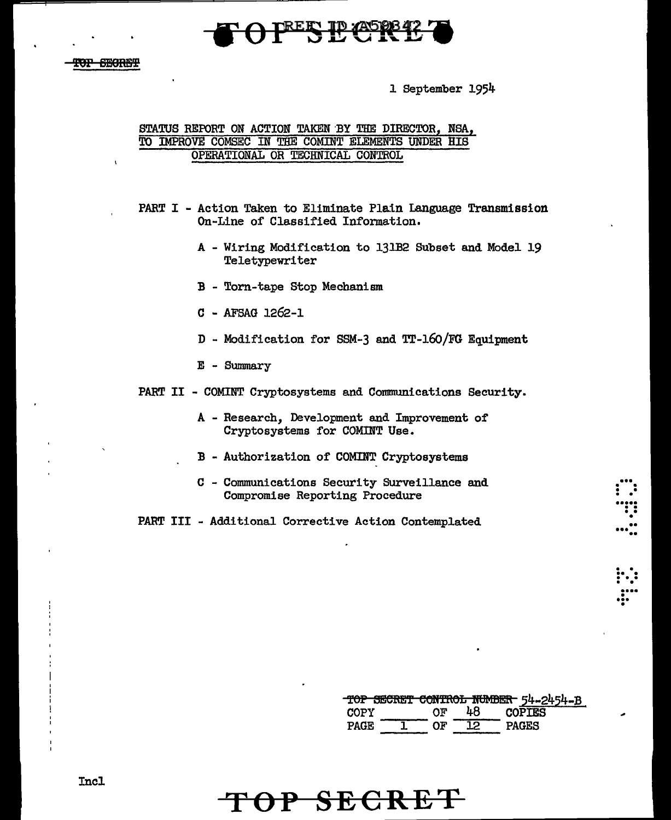

 $\overline{\phantom{a}}$ 

l September 1954

### STATUS REPORT ON ACTION TAKEN'BY THE DIRECTOR, NSA, TO IMPROVE COMSEC IN THE COMINT ELEMENTS UNDER HIS OPERATIONAL OR TECHNICAL CONTROL

PART I - Action Taken to Eliminate Plain Language Transmission On-Line of Classified Information.

- A Wiring Modification to 131B2 Subset and Model 19 Teletypewriter
- B Torn-tape Stop Mechanism
- C AFSAG 1262-1
- D Modification for SSM-3 and TT-16o/FG Equipment
- E Summary
- PART II COMINT Cryptosystems and Communications Security.
	- A Research, Development and Improvement of Cryptosystems for COMINT Use.
	- B Authorization of COMINT Cryptosystems
	- C Communications Security Surveillance and Compromise Reporting Procedure

PART III - Additional Corrective Action Contemplated

|             |    |     | TOP SECRET CONTROL NUMBER 54-2454-B |
|-------------|----|-----|-------------------------------------|
| COPY        | ለፑ | 48. | <b>COPTES</b>                       |
| <b>PAGE</b> |    | 0.  | PAGES                               |

...<br>: .<br>:::

• • • •• ••• ..

• .. • . . • • . • ....

•;•

**TOP SECRET**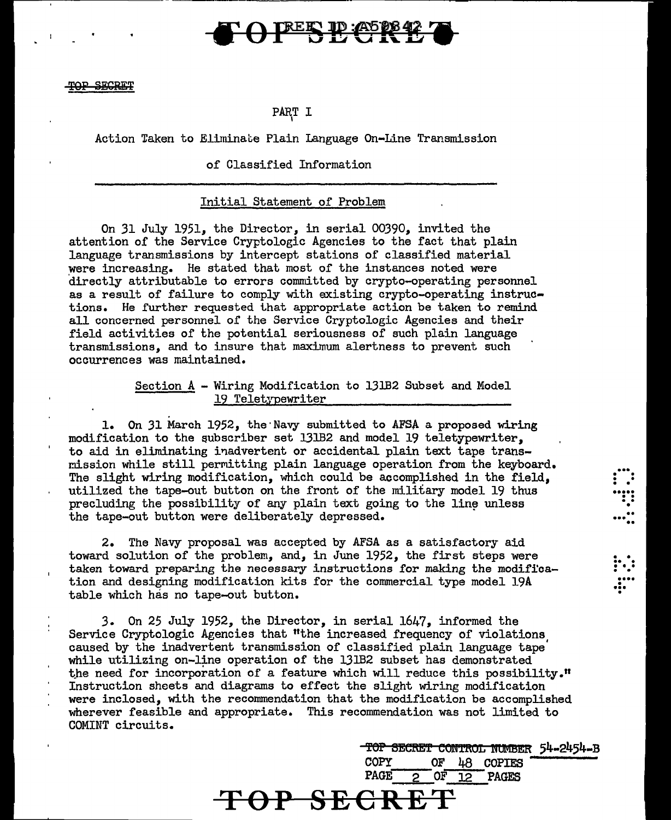# **TREES ID: 405 888**

### SECRET

# PART I '

# Action Taken to Eliminate Plain Language On-Line Transmission

### of Classified Information

### Initial Statement of Problem

On 31 July 1951, the Director, in serial 00390, invited the attention of the Service Cryptologic Agencies to the fact that plain language transmissions by intercept stations of classified material were increasing. He stated that most of the instances noted were directly attributable to errors committed by crypto-operating personnel as a result of failure to comply with existing crypto-operating instructions. He further requested that appropriate action be taken to remind all concerned personnel of the Service Cryptologic Agencies and their field activities of the potential seriousness of such plain language transmissions, and to insure that maximum alertness to prevent such occurrences was maintained.

## Section A - Wiring Modification to 131B2 Subset and Model 19 Teletypewriter

1. On 31 March 1952, the·Navy submitted to AFSA a proposed wiring modification to the subscriber set 131B2 and model 19 teletypewriter, to aid in eliminating inadvertent or accidental plain text tape transmission while still permitting plain language operation from the keyboard. The slight wiring modification, which could be accomplished in the field, utilized the tape-out button on the front of the military model 19 thus precluding the possibility of any plain text going to the line unless the tape-out button were deliberately depressed.

2. The Navy proposal was accepted by AFSA as a satisfactory aid toward solution of the problem, and, in June 1952, the first steps were taken toward preparing the necessary instructions for making the modification and designing modification kits for the commercial type model 19A table which has no tape-out button.

3. On 25 July 1952, the Director, in serial 1647, informed the Service Cryptologic Agencies that "the increased frequency of violations caused by the inadvertent transmission of classified plain language tape' while utilizing on-line operation of the 131B2 subset has demonstrated the need for incorporation of a feature which will reduce this possibility." Instruction sheets and diagrams to effect the slight wiring modification were inclosed, with the recommendation that the modification be accomplished wherever feasible and appropriate. This recommendation was not limited to COMINT circuits.

**TOP SECRE** 

TOP SECRET CONTROL NUMBER 54-2454-B<br>COPY OF LA COPTES OF 48 COPIES PAGE  $2$  OF  $12$  PAGES

 $\mathbf{...}$ 

. . • • ..... . . . . • . . ... ..

 $\vdots$  :  $\mathbf{r}$ ... •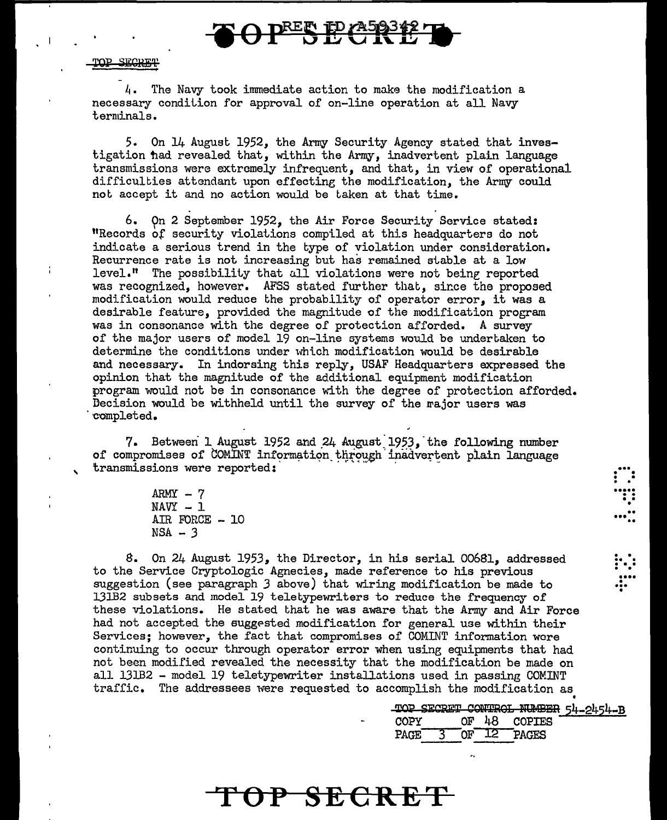

l1. 'l'he Navy took immediate action to make the modification a necessary condition for approval of on-line operation at all Navy terminals.

5. On 14 August 1952, the Army Security Agency stated that investigation had revealed that, within the Army, inadvertent plain language transmissions were extremely infrequent, and that, in view of operational difficulties attendant upon effecting the modification, the Army could not accept it and no action would be taken at that time.

6. On 2 September 1952, the Air Force Security Service stated: "Records of security violations compiled at this headquarters do not indicate a serious trend in the type of violation under consideration. Recurrence rate is not increasing but has remained stable at a low level." The possibility that all violations were not being reported was recognized, however. AFSS stated further that, since the proposed modification would reduce the probability of operator error, it was a desirable feature, provided the magnitude of the modification program was in consonance with the degree of protection afforded. A survey of the major users of model 19 on-line systems would be undertaken to determine the conditions under which modification would be desirable and necessary. In indorsing this reply, USAF Headquarters expressed the opinion that the magnitude of the additional equipment modification program would not be in consonance with the degree of protection afforded. Decision would be withheld until the survey of the rajor users was completed.

7. Between 1 August 1952 and 24 August 1953, the following number of compromises of COMINT information through inadvertent plain language transmissions were reported:

> $ARMY - 7$  $NAVY - 1$ AIR FORCE - 10  $NSA - 3$

'

Ť

8. On 24 August 1953, the Director, in his serial 00681, addressed to the Service Cryptologic Agnecies, made reference to his previous suggestion (see paragraph 3 above) that wiring modification be made to 131B2 subsets and model 19 teletypewriters to reduce the frequency of these violations. He stated Ghat he was aware that the Army and Air Force had not accepted the suggested modification for general use within their Services; however, the fact that compromises of COMINT information were continuing to occur through operator error when usine equipments that had not been modified revealed the necessity that the modification be made on all 131B2 - model 19 teletypewriter installations used in passing COMINT traffic. The addressees were requested to accomplish the modification as

**TOP SECRET** 

TOP SECRET CONTROL NUMBER 54-2454-B<br>COPY OF 48 COPIES OF  $48$ PAGE 3 OF 12 PAGES

 $\vdots$  . ..... . . .. • .. ••• ..

. .  $\vdots$  :  $\ddot{...}$ ...<br>....<br>...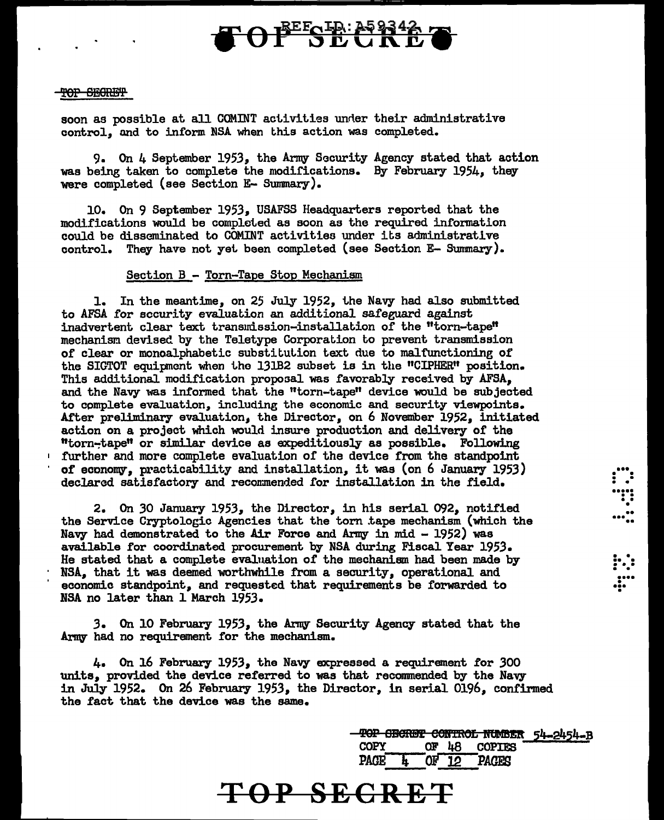# **OFFOR: 25934**

### TOP SEGRETP

soon as possible at all COMINT activities under their administrative control. and to inform NSA when this action was completed.

9. On 4 September 1953, the Army Sacurity Agency stated that action was being taken to complete the modifications. By February 1954, they were completed (see Section E- Summary).

10. On 9 September 1953, USAFSS Headquarters reported that the modifications would be completed as soon as the required information could be disseminated to COMINT activities under its administrative control. They have not yet been completed (see Section E- Sunmary).

### Section B - Torn-Tape Stop Mechanism

1. In the meantime, on 25 July 1952, the Navy had also submitted to AFSA for security evaluation an additional safeguard against inadvertent clear text transmission-installation of the "torn-tape" mechanism devised by the Teletype Corporation to prevent transmission of clear or monoalphabetic substitution text due to malfunctioning of the SIGTOT equipment when the 131B2 subset is in the "CIPHER" position. This additional modification proposal was favorably received by AFSA, and the Navy was informed that the "torn-tape" device would be subjected to complete evaluation, including the economic and security viewpoints. After preliminary evaluation, the Director, on 6 November 1952, initiated action on a project which would insure production and delivery of the "torn-tape" or similar device as expeditiously as possible. Following <sup>1</sup>further and more complete evaluation of the device from the standpoint of economy, practicability and installation, it was (on 6 January 1953) declared satisfactory and recommended for installation in the field.

2. On *30* January 1953, the Director, in his serial 092, notified the Service Cryptologic Agencies that the torn Lape mechanism (which the Navy had demonstrated to the Air Force and Army in mid - 1952) was available for coordinated procurement by NSA during Fiscal Year 1953. He stated that a complete evaluation of the mechanism had been made by NSA, that it was deemed worthwhile from a security, operational and economic standpoint, and requested that requirements be forwarded to NSA no later than l March 1953.

*3.* On 10 February 1953, the Anrry Security Agency stated that the Army had no requirement for the mechanism.

4. On 16 February 1953, the Navy expressed a requirement tor *300*  units, provided the device referred to was that recommended by the Navy in July 1952. On 26 February 1953, the Director, in serial 0196, confirmed the fact that the device was the same.

**TOP SECRET** 

'1'eP SBeRB'f e6!ft'ROL mmn 54-2454-B  $OF<sub>48</sub>$ PAGE 4 OF 12 PAGES

•••  $\mathbf{r}$  : • • ••••• • • •• • •• ••• ..

 $\mathbf{P}$ .... ••••<br>••••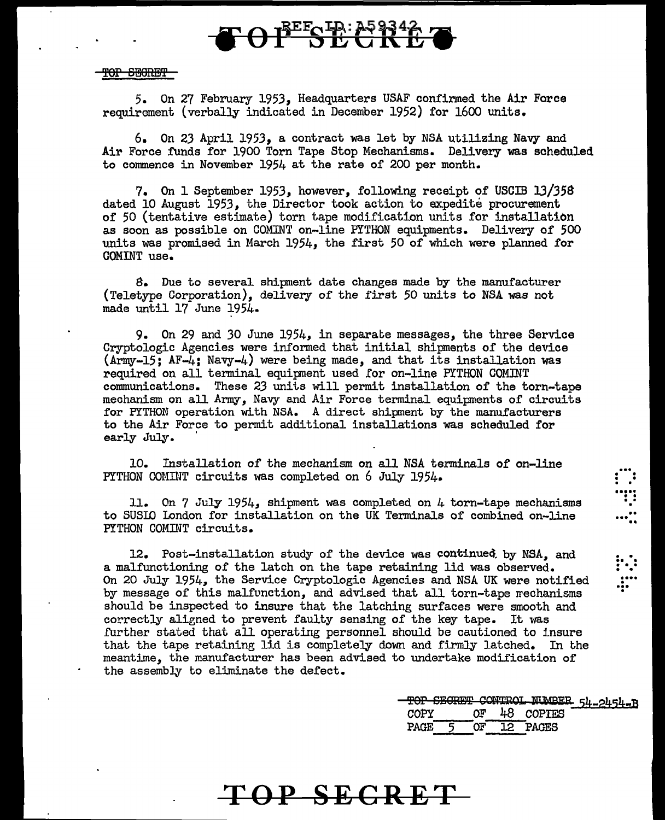# TEECHE: 259342

### TOP SEGRET

5. On 27 February 1953, Headquarters USAF confirmed the Air Force requirement (verbally indicated in December 1952) for 1600 units.

6. On 23 April 1953, a contract was let by NSA utilizing Navy and Air Force funds for 1900 Torn Tape Stop Mechanisms. Delivery was scheduled to commence in November 1954 at the rate of 200 per month.

7. On 1 September 1953, however, following receipt of USCIB *13/358*  dated 10 August 1953, the Director took action to expedite procurement of 50 (tentative estimate) torn tape modification units for installation as soon as possible on COMINT on-line PYTHON equipments. Delivery of 500 units was promised in March 1954, the first 50 of which were planned for COMINT use.

8. Due to several shipment date changes made by the manufacturer (Teletype Corporation), delivery of the first 50 units to NSA was not made until 17 June 1954.

9. On 29 and 30 June 1954, in separate messages, the three Service Cryptologic Agencies were informed that initial shipments of the device (Army-15; AF-4; Navy-4) were being made, and that its installation was required on all terminal equipment used !or on-line PYTHON COMINT communications. These 23 units will permit installation of the torn-tape mechanism on all Army, Navy and Air Force terminal equipments of circuits for PYTHON operation with NSA. A direct shipment by the manufacturers to the Air Force to permit additional installations was scheduled for early July.

10. Installation *of* the mechanism on all NSA terminals *of* on-line PYTHON COMINT circuits was completed on 6 July 1954.

11. On 7 July 1954, shipment was completed on 4 torn-tape mechanisms to SUSIO london for installation on the UK Terminals of combined on-line PYTHON COMINT circuits.

12. Post-installation study of the device was continued. by NSA, and a malfunctioning of the latch on the tape retaining lid was observed. On 20 July 1954, the Service Cryptologic Agencies and NSA UK were notified by message of this malfunction, and advised that all torn-tape rrechanisms should be inspected to insure that the latching surfaces were smooth and correctly aligned to prevent faulty sensing of the key tape. It was further stated that all operating personnel should be cautioned to insure that the tape retaining lid is completely down and firmly latched. In the meantime, the manufacturer has been advised to undertake modification of the assembly to eliminate the defect.

**TOP SECRET** 

|             |    | TOP SECRET CONTROL NUMBER 54-2454-B |
|-------------|----|-------------------------------------|
| COPY        | ∩۳ | 48 COPTES                           |
| <b>PAGE</b> |    | 12 PAGES                            |

 $\vdots$  . ..... . . .. .

.. ... ..

. . .. . . • • . • .... . ... .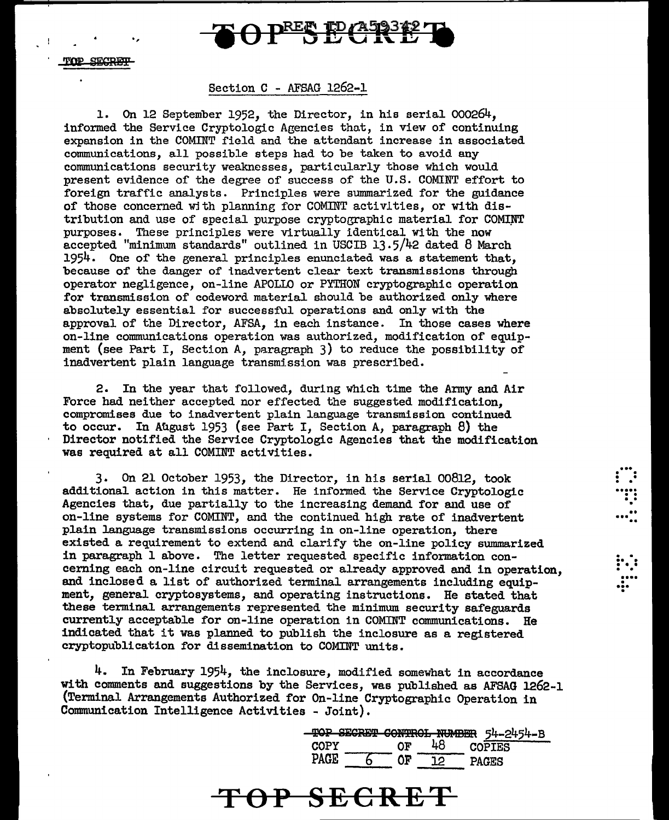

.,

### Section C - AFSAG 1262-1

1. On 12 September 1952, the Director, in his serial 000264, informed the Service Cryptologic Agencies that, in view of continuing expansion in the COMINT field and the attendant increase in associated communications, all possible steps had to be taken to avoid any communications security weaknesses, particularly those which would present evidence of the degree of success of the U.S. COMINT effort to foreign traffic analysts. Principles were summarized for the guidance of those concerned wjth planning for COMINT activlties, or with distribution and use of special purpose cryptographic material for COMINT purposes. These principles were virtually identical With the now accepted "minimum standards" outlined in USCIB 13.5/42 dated 8 March 1954. One of the eeneral principles enunciated was a statement that, because of the danger of inadvertent clear text transmissions through operator negligence, on-line APOLLO or PYTIION cryptographic operation for transmission of codeword material should be authorized only where absolutely essential for successful operations and only with the approval of the Director, AFSA, in each instance. In those cases where on-line communications operation was authorized, modification of equipment (see Part I, Section A, paragraph 3) to reduce the possibility of inadvertent plain language transmission was prescribed.

2. In the year that followed, during which time the Army and Air Force had neither accepted nor effected the suggested modification, compromises due to inadvertent plain language transmission continued to occur. In Afigust 1953 (see Part I, Section A, paragraph 8) the Director notified the Service Cryptologic Agencies that the modification was required at all COMINT activities.

3. On 21 October 1953, the Director, in his serial 00812, took additional action in this matter. He informed the Service Cryptologic Agencies that, due partially to the increasing demand for and use of on-line systems for COMINT, and the continued high rate of inadvertent plain language transmissions occurring in on-line operation, there existed a requirement to extend and clarify the on-line policy summarized in paragraph 1 above. The letter requested specific information concerning each on-line circuit requested or already approved and in operation, and inclosed a list of authorized terminal arrangements including equipment, general cryptosystems, and operating instructions. He stated that these terminal arrangements represented the minimum security safeguards currently acceptable for on-line operation in COMINT communications. He indicated that it was planned to publish the inclosure as a registered cryptopublication for dissemination to COMINT units.

4. In February 1954, the inclosure, modified somewhat in accordance with comments and suggestions by the Services, was published as AFSAG 1262-1 (Terminal Arrangements Authorized for On-line Cryptographic Operation in Communication Intelligence Activities - Joint).

**TOP SECRET** 

|      | -SECRET CONTROL NUMBER | 54-2454-B     |
|------|------------------------|---------------|
|      |                        |               |
| COPY | ΩF                     | <b>COPTES</b> |
| PACR |                        |               |
|      |                        |               |

. .. . . . . • • ..... . . . . .

...<br>...<mark>..</mark>

. . .. . ... . . .... ... • .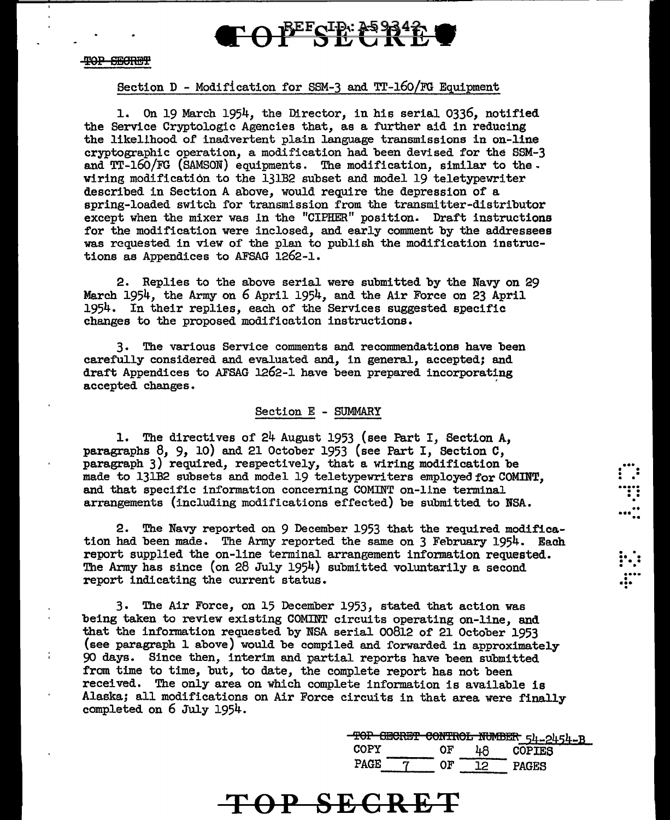

 $\frac{1}{1}$ 

## Section D - Modification for SSM-3 and Tr-160/FG Equipment

1. On 19 March 1954, the Director, in his serial 0336, notified the Service Cryptologic Agencies that, as a further aid in reducing the likelihood of inadvertent plain language transmissions in on-line cryptographic operation, a modification had been devised for the SSM-3 and Tr-16o/FG (SAMSON) equipments. The modification, similar to the. wiring modification to the 131B2 subset and model 19 teletypewriter described in Section A above, would require the depression of a spring-loaded switch for transmission from the transmitter-distributor except when the mixer was ln the "CIPHER" position. Draft instructions for the modification were inclosed, and early comment by the addressees was requested in view of the plan to publish the modification instructions as Appendices to AFSAG 1262-1.

2. Replies to the above serial were submitted by the Navy on 29 March 1954, the Army on 6 April 1954, and the Air Force on 23 April 1954. In their replies, each of the Services suggested specific changes to the proposed modification instructions.

3. The various Service comments and recommendations have been carefully considered and evaluated and, in general, accepted; and draft Appendices to AFSAG 1262-1 have been prepared incorporating accepted changes.

### Section E - SUMMARY

1. The directives of 24 August 1953 (see Part I, Section A, paragraphs 8, *9,* 10) and 21 October 1953 (see Part I, Section C, paragraph 3) required, respectively, that a wiring modification be made to 131B2 subsets and model 19 teletypewriters employed for COMINT, and that specific information concerning COMINT on-llne terminal arrangements (including modifications effected) be submitted to NSA.

2. The Navy reported on 9 December 1953 that the required modification had been made. The Army reported the same on 3 February 1954. Each report supplied the on-line terminal arrangement information requested. The Army has since (on 28 July 1954) submitted voluntarily a second report indicating the current status.

3. The Air Force, on 15 December 1953, stated that action was being taken to review existing COMINT circuits operating on-line, and that the information requested by NSA serial 00812 of 21 October 1953 (see paragraph 1 above) would be compiled and forwarded in approximately 90 days. Since then, interim and partial reports have been submitted from time to time, but, to date, the complete report has not been received. The only area on which complete information is available is Alaska; all modifications on Air Force circuits in that area were finally completed on 6 July 1954.

> $\frac{-TOP - GECREF - GONTROL - NUMBER - 54-2454-B}{OF - 48}$ OF 48 COPIES PAGE 7 OF 12 PAGES

 $\vdots$  .

. .<br>....<br>...<br>.. ...<br>...<mark>..</mark>

. . . .<br>. . . .<br>. . . .

... • .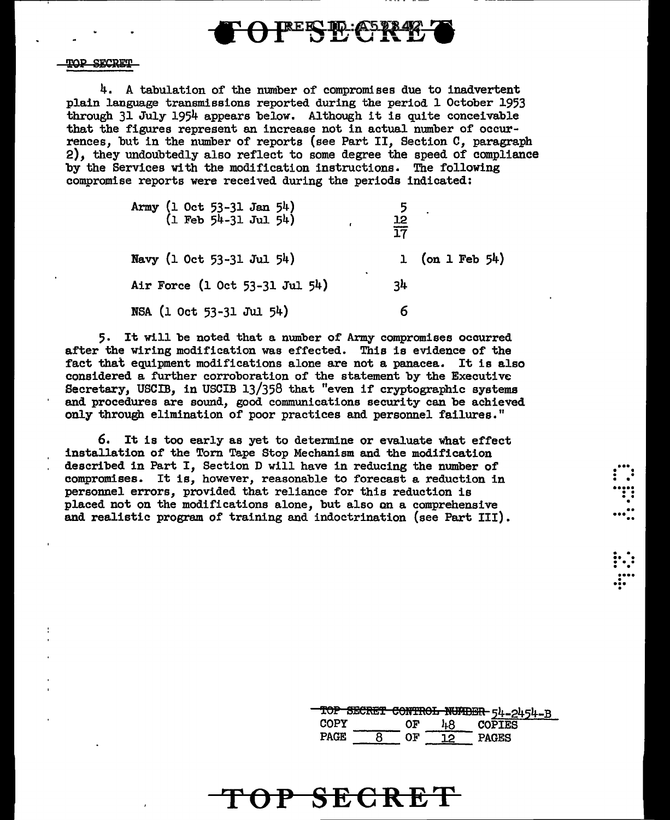

4. A tabulation of the number of compromises due to inadvertent plain language transmissions reported during the period 1 October 1953 through 31 July 1954 appears below. Al though it is quite conceivable that the figures represent an increase not in actual number of occur-<br>rences. but in the number of reports (see Part II. Section C. paragraph 2), they undoubtedly also reflect to some degree the speed of compliance by the Services with the modification instructions. The following compromise reports were received during the periods indicated:

| Army (1 Oct 53-31 Jan 54)<br>(1 Feb 54-31 Jul 54) | $rac{12}{17}$ |                    |
|---------------------------------------------------|---------------|--------------------|
| Navy (1 Oct 53-31 Jul 54)                         |               | 1 (on 1 Feb $54$ ) |
| ٠<br>Air Force (1 Oct 53-31 Jul 54)               | 34            |                    |
| NSA (1 Oct 53-31 Jul 54)                          |               |                    |

5. It will be noted that a. number or Army compromises occurred after the wiring modification was effected. This is evidence of the fact that equipment modifications alone are not a panacea. It is also considered a further corroboration of the statement by the Executive Secretary, USCIB, in USCIB 13/358 that "even if cryptographic systems and procedures are sound, good communications security can be achieved only through elimination of poor practices and personnel failures."

6. It is too early as yet to determine or evaluate what effect installation of the Torn Tape Stop Mechanism and the modification described in Part I, Section D will have in reducing the number of compromises. It is, however, reasonable to forecast a reduction in personnel errors, provided that reliance for this reduction is placed not on the modifications alone, but also on a comprehensive and realistic program of training and indoctrination {see Part III).

|      |    | TOP SECRET CONTROL NUMBER 54-2454-B |
|------|----|-------------------------------------|
| COPY | ΩF | <b>COPIES</b>                       |
| PAGR |    | <b>PAGES</b>                        |

...  $\begin{bmatrix} \cdots \ \cdots \ \cdots \ \cdots \ \cdots \end{bmatrix}$ 

.. . .. ..

 $\vdots$  : ...<br>....<br>.. ••• .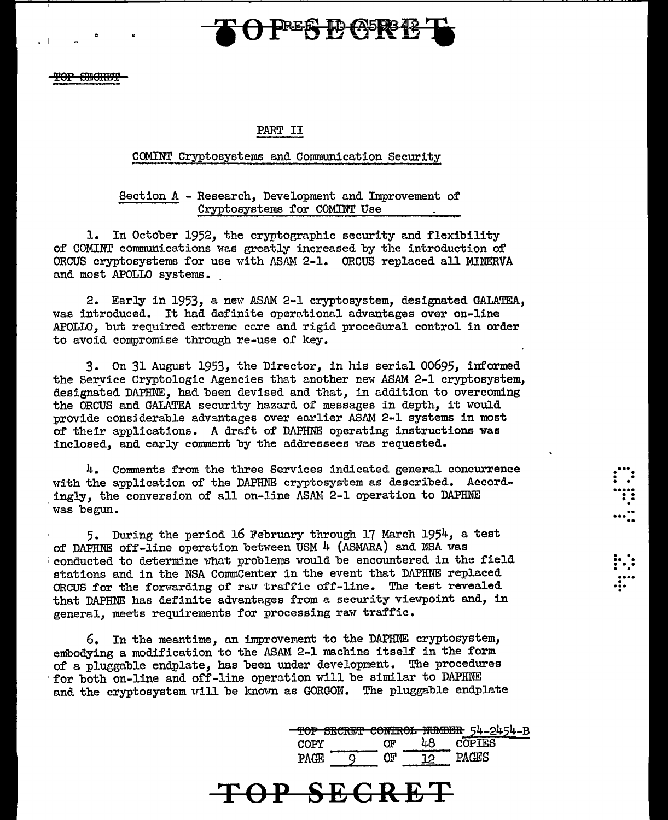

 $\cdot$  I  $\cdot$   $\cdot$   $\cdot$   $\cdot$ 

### PART II

### COMINT Cryptosystems and Communication Security

Section A - Research, Development and Improvement of Cryptosystems for COMINT Use

1. In October 1952, the cryptographic security and flexibility of COMINT communications wes greatly increased by the introduction of ORCUS cryptosystems for use with  $\Lambda$ SAM 2-1. ORCUS replaced all MINERVA and most APOLLO systems.

2. Early in 1953, a new ASAM 2-1 cryptosystem, designated GALATEA, was introduced. It had definite operationnl advantages over on-line APOLLO, but required extreme cc.re and rigid procedural control in order to avoid compromise through re-use of key.

3. On 31 August 1953, the Director, in his serial 00695, informed the Service Cryptologic Agencies that another new ASAM 2-1 cryptosystem. designated DJ\PHNE, hed been devised and that, in addition to overcoming the ORCUS and GALATEA security hazard of messages in depth, it would provide considerable advantages over earlier ASAM 2-1 systems in most of their applications. A draft of DAPHNE operating instructions was inclosed, and early comment by the addressees was requested.

4. Comments from the three Services indicated general concurrence with the application of the DAPHNE cryptosystem as described. Accord ingly, the conversion of all on-line ASAM 2-1 operation to DAPHNE was begun.

5. During the period 16 February through 17 March 1954, a test of DAPHNE off-line operation between USM 4 (ASMARA) and NSA was : conducted to determine what problems would be encountered in the field stations and in the NSA CommCenter in the event that DAPHNE replaced ORCUS for the forwarding of raw traffic off-line. The test revealed that DAPHNE has definite advantages from a security viewpoint and, in general, meets requirements for processing raw traffic.

6. In the meantime, an improvement to the DAPHNE cryptosystem, embodying a modification to the ASAM 2-1 machine itself in the form of a pluggable endplate, has been under development. The procedures for both on-line and off-line operation will be similar to DAPHNE and the cryptosystem will be known as GORGON. The pluggable endplate

**TOP SECRET** 

|      |           | TOP SECRET CONTROL NUMBER 54-2454-B |  |
|------|-----------|-------------------------------------|--|
| COPY | <b>OF</b> | <b>COPTES</b>                       |  |
| אמס  | ገሞ        |                                     |  |

... . .

• • • • ..... . • . • . . . ... ..

 $\sum_{i=1}^{n}$ 

... • .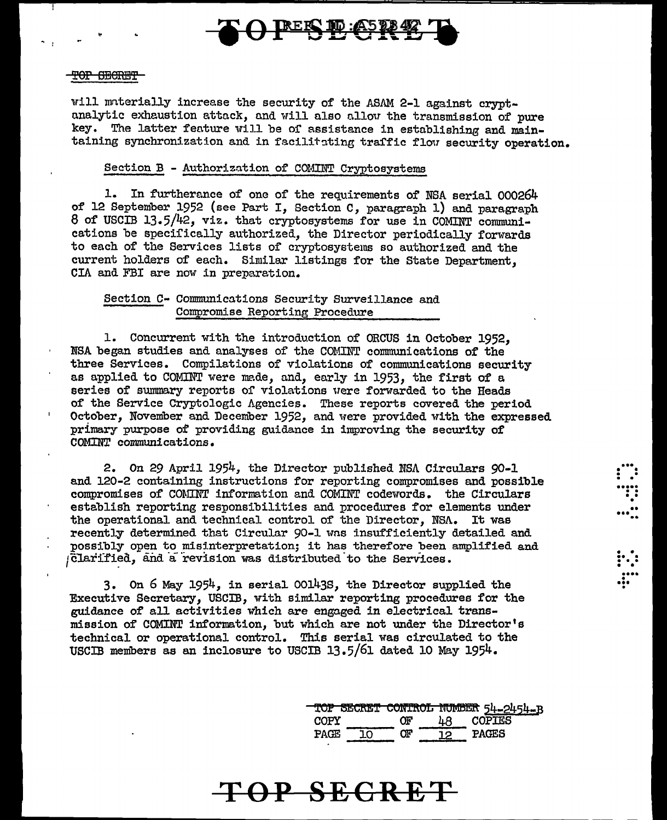

### <del>POP SECRET</del>

will materially increase the security of the ASAM 2-1 against cryptanalytic exhaustion attack, and will also allow the transmission of pure key. The latter feature will be of assistance in establishing and maintaining synchronization and in facilitating traffic flow security operation.

### Section B - Authorization of COMINT Cryptosystems

1. In furtherance of one of the requirements of NSA serial 000264 of 12 September 1952 (see Part I, Section C, paragraph 1) and paragraph 8 of USCIB 13.5/42, viz. that cryptosystems for use in COMINT communications be specifically authorized, the Director periodically forwards to each of the Services lists of cryptosystems so authorized and the current holders of each. Similar listings for the State Department. CIA and FBI are now in preparation.

### Section C- Communications Security Surveillance and Compromise Reporting Procedure

1. Concurrent with the introduction of ORCUS in October 1952. NSA began studies and analyses of the COMINT communications of the three Services. Compilations of violations of communications security as applied to COMINT were made, and, early in 1953, the first of a series of summary reports of violations were forwarded to the Heads of the Service Cryptologic Agencies. These reports covered the period October, November and December 1952, and were provided with the expressed primary purpose of providing guidance in improving the security of COMINT communications.

2. On 29 April 1954, the Director published NSA Circulars 90-1 and 120-2 containing instructions for reporting compromises and possible compromises of COMINT information and COMINT codewords. the Circulars establish reporting responsibilities and procedures for elements under the operational and technical control of the Director, NSA. It was recently determined that Circular 90-1 was insufficiently detailed and possibly open to misinterpretation; it has therefore been amplified and Glarified, and a revision was distributed to the Services.

3. On 6 May 1954, in serial 00143S, the Director supplied the Executive Secretary, USCIB, with similar reporting procedures for the guidance of all activities which are engaged in electrical transmission of COMINT information, but which are not under the Director's technical or operational control. This serial was circulated to the USCIB members as an inclosure to USCIB 13.5/61 dated 10 May 1954.

|       |    | TOP SECRET CONTROL NUMBER 54-2454-B |
|-------|----|-------------------------------------|
| COPY  | በ⊮ | <b>COPIES</b>                       |
| PACE. | אר | PAGES                               |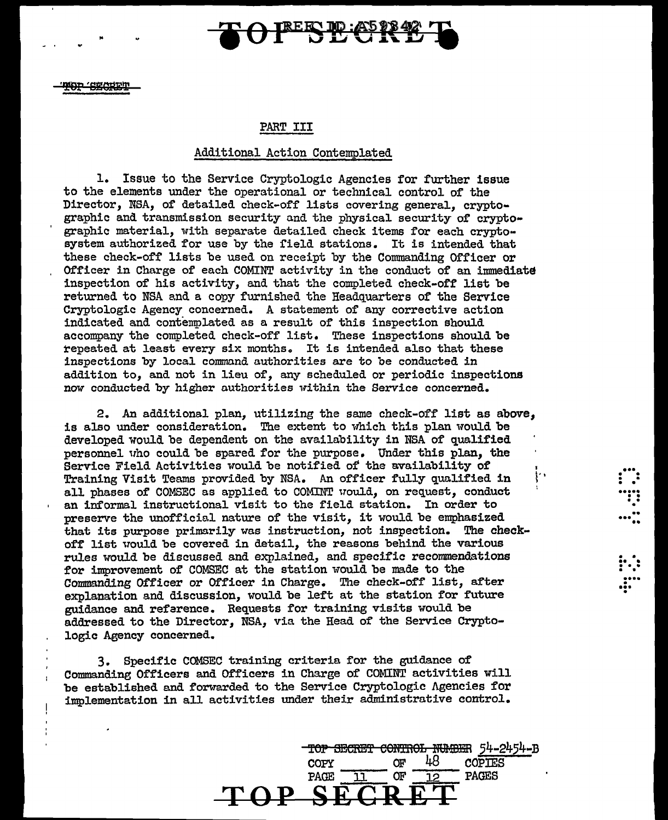

MOD GECRET

"

### PART III

### Additional Action Contemplated

1. Issue to the Service Cryptologic Agencies for further issue to the elements under the operational or technical control of the Director, NSA, of detailed check-off lists covering general, cryptographic and transmission security and the physical security of cryptographic material, with separate detailed check items for each cryptosystem authorized for use by the field stations. It is intended that these check-off lists be used on receipt by the Commanding Officer or Officer in Charge of each COMINT activity in the conduct of an immediate inspection of his activity, and that the completed check-off list be returned to NSA and a copy furnished the Headquarters of the Service Cryptologic Agency concerned. A statement of any corrective action indicated and contemplated as a result of this inspection should accompany the completed check-off list. These inspections should be repeated at least every six months. It is intended also that these inspections by local command authorities are to be conducted in addition to, and not in lieu of, any scheduled or periodic inspections now conducted by higher authorities within the Service concerned.

2. An additional plan, utilizing the same check-off list as above, is also under consideration. The extent to which this plan would be developed would be dependent on the availability in NSA of qualified personnel who could be spared for the purpose. Under this plan, the Service Field Activities would be notified of the availability of Training Visit Teams provided by NSA. An officer fully qualified in Iti all phases of COMSEC as applied to COMINT uould, on request, conduct an informal instructional visit to the field station. In order to preserve the unofficial nature of the visit, it would be emphasized that its purpose primarily was instruction, not inspection. The checkoff list would be covered in detail, the reasons behind the various rules would be discussed and explained, and specific recommendations for improvement of COMSEC at the station would be made to the Commanding Officer or Officer in Charge. The check-off list, after explanation and discussion, would be left at the station for future guidance and refarence. Requests for training visits would be addressed to the Director, NSA, via the Head of the Service Cryptologic Agency concerned.

3. Specific COMSEC training criteria for the guidance of Commanding Officers and Officers in Charge of COMINT activities will be established and forwarded to the Service Cryptologic Agencies for implementation in all activities under their administrative control.

**TOP SECRET** 

 $\frac{10P}{10P}$  SECRET CONTROL NUMBER  $\frac{54-2454-B}{160P}$ copy of 48 copies PAGE 11 OF 12 PAGES

...  $\dddot{\mathbf{r}}$  : ••••• . . • . •

.. ••• ••

 $\mathbf{r}$  . .

• ...<br>....<br>...